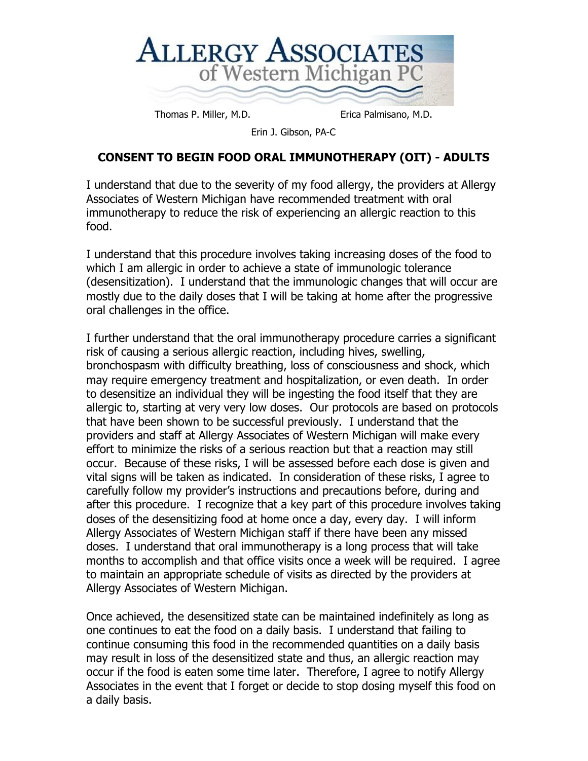

Thomas P. Miller, M.D. Erica Palmisano, M.D.

Erin J. Gibson, PA-C

## **CONSENT TO BEGIN FOOD ORAL IMMUNOTHERAPY (OIT) - ADULTS**

I understand that due to the severity of my food allergy, the providers at Allergy Associates of Western Michigan have recommended treatment with oral immunotherapy to reduce the risk of experiencing an allergic reaction to this food.

I understand that this procedure involves taking increasing doses of the food to which I am allergic in order to achieve a state of immunologic tolerance (desensitization). I understand that the immunologic changes that will occur are mostly due to the daily doses that I will be taking at home after the progressive oral challenges in the office.

I further understand that the oral immunotherapy procedure carries a significant risk of causing a serious allergic reaction, including hives, swelling, bronchospasm with difficulty breathing, loss of consciousness and shock, which may require emergency treatment and hospitalization, or even death. In order to desensitize an individual they will be ingesting the food itself that they are allergic to, starting at very very low doses. Our protocols are based on protocols that have been shown to be successful previously. I understand that the providers and staff at Allergy Associates of Western Michigan will make every effort to minimize the risks of a serious reaction but that a reaction may still occur. Because of these risks, I will be assessed before each dose is given and vital signs will be taken as indicated. In consideration of these risks, I agree to carefully follow my provider's instructions and precautions before, during and after this procedure. I recognize that a key part of this procedure involves taking doses of the desensitizing food at home once a day, every day. I will inform Allergy Associates of Western Michigan staff if there have been any missed doses. I understand that oral immunotherapy is a long process that will take months to accomplish and that office visits once a week will be required. I agree to maintain an appropriate schedule of visits as directed by the providers at Allergy Associates of Western Michigan.

Once achieved, the desensitized state can be maintained indefinitely as long as one continues to eat the food on a daily basis. I understand that failing to continue consuming this food in the recommended quantities on a daily basis may result in loss of the desensitized state and thus, an allergic reaction may occur if the food is eaten some time later. Therefore, I agree to notify Allergy Associates in the event that I forget or decide to stop dosing myself this food on a daily basis.